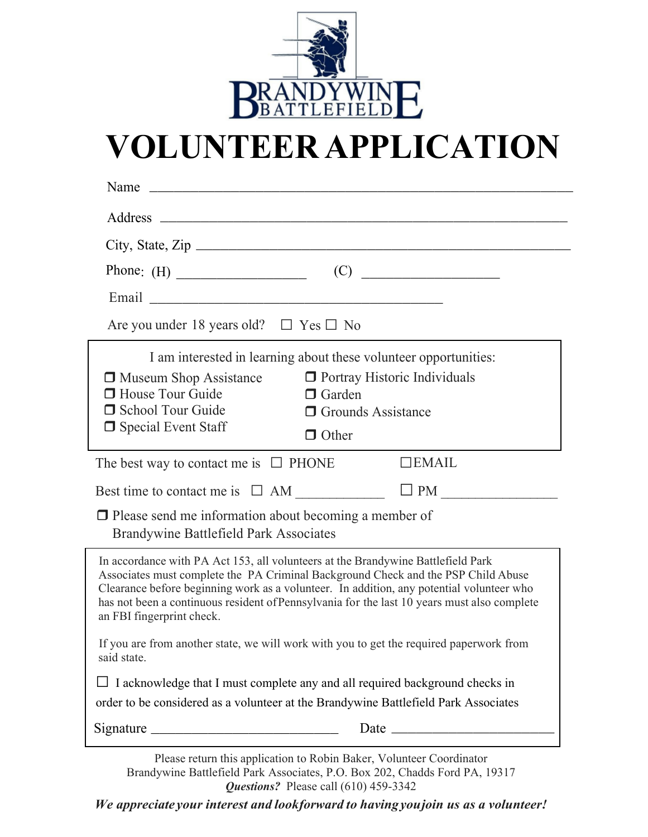

## **VOLUNTEER APPLICATION**

| Name                                                                                                                                                                                                                           |                                                                                                                                                                                                                                                                              |  |  |  |
|--------------------------------------------------------------------------------------------------------------------------------------------------------------------------------------------------------------------------------|------------------------------------------------------------------------------------------------------------------------------------------------------------------------------------------------------------------------------------------------------------------------------|--|--|--|
|                                                                                                                                                                                                                                |                                                                                                                                                                                                                                                                              |  |  |  |
|                                                                                                                                                                                                                                |                                                                                                                                                                                                                                                                              |  |  |  |
|                                                                                                                                                                                                                                | (C)                                                                                                                                                                                                                                                                          |  |  |  |
| Email Land and the contract of the contract of the contract of the contract of the contract of the contract of the contract of the contract of the contract of the contract of the contract of the contract of the contract of |                                                                                                                                                                                                                                                                              |  |  |  |
| Are you under 18 years old? $\Box$ Yes $\Box$ No                                                                                                                                                                               |                                                                                                                                                                                                                                                                              |  |  |  |
|                                                                                                                                                                                                                                | I am interested in learning about these volunteer opportunities:                                                                                                                                                                                                             |  |  |  |
| <b>D</b> Museum Shop Assistance                                                                                                                                                                                                | <b>O</b> Portray Historic Individuals                                                                                                                                                                                                                                        |  |  |  |
| <b>House Tour Guide</b>                                                                                                                                                                                                        | $\Box$ Garden                                                                                                                                                                                                                                                                |  |  |  |
| School Tour Guide                                                                                                                                                                                                              | <b>O</b> Grounds Assistance                                                                                                                                                                                                                                                  |  |  |  |
| □ Special Event Staff                                                                                                                                                                                                          | $\Box$ Other                                                                                                                                                                                                                                                                 |  |  |  |
| The best way to contact me is $\Box$ PHONE                                                                                                                                                                                     | $\Box$ <b>EMAIL</b>                                                                                                                                                                                                                                                          |  |  |  |
|                                                                                                                                                                                                                                |                                                                                                                                                                                                                                                                              |  |  |  |
|                                                                                                                                                                                                                                | $\Box$ PM                                                                                                                                                                                                                                                                    |  |  |  |
| $\Box$ Please send me information about becoming a member of                                                                                                                                                                   |                                                                                                                                                                                                                                                                              |  |  |  |
| Brandywine Battlefield Park Associates                                                                                                                                                                                         |                                                                                                                                                                                                                                                                              |  |  |  |
| In accordance with PA Act 153, all volunteers at the Brandywine Battlefield Park<br>an FBI fingerprint check.                                                                                                                  | Associates must complete the PA Criminal Background Check and the PSP Child Abuse<br>Clearance before beginning work as a volunteer. In addition, any potential volunteer who<br>has not been a continuous resident of Pennsylvania for the last 10 years must also complete |  |  |  |
| said state.                                                                                                                                                                                                                    | If you are from another state, we will work with you to get the required paperwork from                                                                                                                                                                                      |  |  |  |
|                                                                                                                                                                                                                                | I acknowledge that I must complete any and all required background checks in                                                                                                                                                                                                 |  |  |  |
|                                                                                                                                                                                                                                | order to be considered as a volunteer at the Brandywine Battlefield Park Associates                                                                                                                                                                                          |  |  |  |
|                                                                                                                                                                                                                                | Date and the same state of the state of the state of the state of the state of the state of the state of the state of the state of the state of the state of the state of the state of the state of the state of the state of                                                |  |  |  |

Brandywine Battlefield Park Associates, P.O. Box 202, Chadds Ford PA, 19317 *Questions?* Please call (610) 459-3342

*We appreciate your interest and lookforward to havingyoujoin us as a volunteer!*